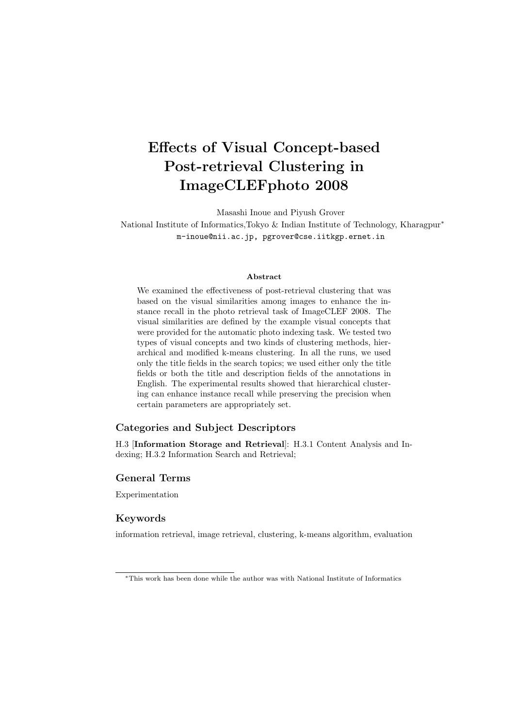# **Effects of Visual Concept-based Post-retrieval Clustering in ImageCLEFphoto 2008**

Masashi Inoue and Piyush Grover National Institute of Informatics,Tokyo & Indian Institute of Technology, Kharagpur*<sup>∗</sup>* m-inoue@nii.ac.jp, pgrover@cse.iitkgp.ernet.in

#### **Abstract**

We examined the effectiveness of post-retrieval clustering that was based on the visual similarities among images to enhance the instance recall in the photo retrieval task of ImageCLEF 2008. The visual similarities are defined by the example visual concepts that were provided for the automatic photo indexing task. We tested two types of visual concepts and two kinds of clustering methods, hierarchical and modified k-means clustering. In all the runs, we used only the title fields in the search topics; we used either only the title fields or both the title and description fields of the annotations in English. The experimental results showed that hierarchical clustering can enhance instance recall while preserving the precision when certain parameters are appropriately set.

### **Categories and Subject Descriptors**

H.3 [**Information Storage and Retrieval**]: H.3.1 Content Analysis and Indexing; H.3.2 Information Search and Retrieval;

## **General Terms**

Experimentation

### **Keywords**

information retrieval, image retrieval, clustering, k-means algorithm, evaluation

*<sup>∗</sup>*This work has been done while the author was with National Institute of Informatics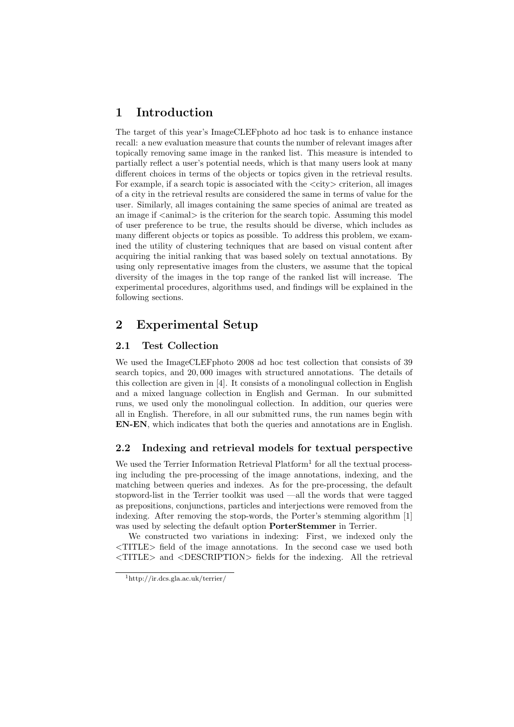# **1 Introduction**

The target of this year's ImageCLEFphoto ad hoc task is to enhance instance recall: a new evaluation measure that counts the number of relevant images after topically removing same image in the ranked list. This measure is intended to partially reflect a user's potential needs, which is that many users look at many different choices in terms of the objects or topics given in the retrieval results. For example, if a search topic is associated with the *<*city*>* criterion, all images of a city in the retrieval results are considered the same in terms of value for the user. Similarly, all images containing the same species of animal are treated as an image if *<*animal*>* is the criterion for the search topic. Assuming this model of user preference to be true, the results should be diverse, which includes as many different objects or topics as possible. To address this problem, we examined the utility of clustering techniques that are based on visual content after acquiring the initial ranking that was based solely on textual annotations. By using only representative images from the clusters, we assume that the topical diversity of the images in the top range of the ranked list will increase. The experimental procedures, algorithms used, and findings will be explained in the following sections.

# **2 Experimental Setup**

# **2.1 Test Collection**

We used the ImageCLEFphoto 2008 ad hoc test collection that consists of 39 search topics, and 20*,* 000 images with structured annotations. The details of this collection are given in [4]. It consists of a monolingual collection in English and a mixed language collection in English and German. In our submitted runs, we used only the monolingual collection. In addition, our queries were all in English. Therefore, in all our submitted runs, the run names begin with **EN-EN**, which indicates that both the queries and annotations are in English.

# **2.2 Indexing and retrieval models for textual perspective**

We used the Terrier Information Retrieval Platform<sup>1</sup> for all the textual processing including the pre-processing of the image annotations, indexing, and the matching between queries and indexes. As for the pre-processing, the default stopword-list in the Terrier toolkit was used —all the words that were tagged as prepositions, conjunctions, particles and interjections were removed from the indexing. After removing the stop-words, the Porter's stemming algorithm [1] was used by selecting the default option **PorterStemmer** in Terrier.

We constructed two variations in indexing: First, we indexed only the *<*TITLE*>* field of the image annotations. In the second case we used both *<*TITLE*>* and *<*DESCRIPTION*>* fields for the indexing. All the retrieval

<sup>1</sup>http://ir.dcs.gla.ac.uk/terrier/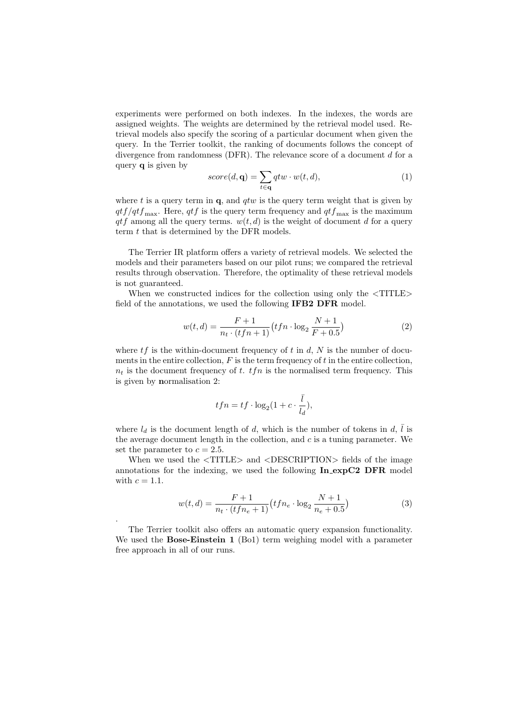experiments were performed on both indexes. In the indexes, the words are assigned weights. The weights are determined by the retrieval model used. Retrieval models also specify the scoring of a particular document when given the query. In the Terrier toolkit, the ranking of documents follows the concept of divergence from randomness (DFR). The relevance score of a document *d* for a query **q** is given by

$$
score(d, \mathbf{q}) = \sum_{t \in \mathbf{q}} qtw \cdot w(t, d),
$$
\n(1)

where *t* is a query term in **q**, and *qtw* is the query term weight that is given by  $qtf/qtf_{\text{max}}$ . Here,  $qtf$  is the query term frequency and  $qtf_{\text{max}}$  is the maximum  $qtf$  among all the query terms.  $w(t, d)$  is the weight of document *d* for a query term *t* that is determined by the DFR models.

The Terrier IR platform offers a variety of retrieval models. We selected the models and their parameters based on our pilot runs; we compared the retrieval results through observation. Therefore, the optimality of these retrieval models is not guaranteed.

When we constructed indices for the collection using only the *<*TITLE*>* field of the annotations, we used the following **IFB2 DFR** model.

$$
w(t,d) = \frac{F+1}{n_t \cdot (tfn+1)} \left( tfn \cdot \log_2 \frac{N+1}{F+0.5} \right)
$$
 (2)

where  $tf$  is the within-document frequency of  $t$  in  $d$ ,  $N$  is the number of documents in the entire collection, *F* is the term frequency of *t* in the entire collection,  $n_t$  is the document frequency of *t*. *tfn* is the normalised term frequency. This is given by **n**ormalisation 2:

$$
tfn=tf\cdot \log_2(1+c\cdot \frac{\bar{l}}{l_d}),
$$

where  $l_d$  is the document length of *d*, which is the number of tokens in *d*,  $\overline{l}$  is the average document length in the collection, and *c* is a tuning parameter. We set the parameter to  $c = 2.5$ .

When we used the *<*TITLE*>* and *<*DESCRIPTION*>* fields of the image annotations for the indexing, we used the following **In expC2 DFR** model with  $c = 1.1$ .

$$
w(t,d) = \frac{F+1}{n_t \cdot (tfn_e+1)} \left( tfn_e \cdot \log_2 \frac{N+1}{n_e+0.5} \right)
$$
 (3)

The Terrier toolkit also offers an automatic query expansion functionality. We used the **Bose-Einstein 1** (Bo1) term weighing model with a parameter free approach in all of our runs.

.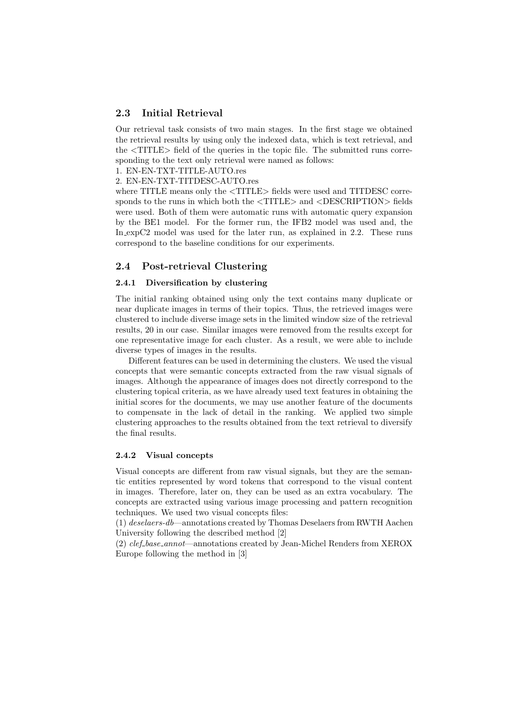## **2.3 Initial Retrieval**

Our retrieval task consists of two main stages. In the first stage we obtained the retrieval results by using only the indexed data, which is text retrieval, and the *<*TITLE*>* field of the queries in the topic file. The submitted runs corresponding to the text only retrieval were named as follows:

1. EN-EN-TXT-TITLE-AUTO.res

2. EN-EN-TXT-TITDESC-AUTO.res

where TITLE means only the *<*TITLE*>* fields were used and TITDESC corresponds to the runs in which both the *<*TITLE*>* and *<*DESCRIPTION*>* fields were used. Both of them were automatic runs with automatic query expansion by the BE1 model. For the former run, the IFB2 model was used and, the In expC2 model was used for the later run, as explained in 2.2. These runs correspond to the baseline conditions for our experiments.

### **2.4 Post-retrieval Clustering**

### **2.4.1 Diversification by clustering**

The initial ranking obtained using only the text contains many duplicate or near duplicate images in terms of their topics. Thus, the retrieved images were clustered to include diverse image sets in the limited window size of the retrieval results, 20 in our case. Similar images were removed from the results except for one representative image for each cluster. As a result, we were able to include diverse types of images in the results.

Different features can be used in determining the clusters. We used the visual concepts that were semantic concepts extracted from the raw visual signals of images. Although the appearance of images does not directly correspond to the clustering topical criteria, as we have already used text features in obtaining the initial scores for the documents, we may use another feature of the documents to compensate in the lack of detail in the ranking. We applied two simple clustering approaches to the results obtained from the text retrieval to diversify the final results.

#### **2.4.2 Visual concepts**

Visual concepts are different from raw visual signals, but they are the semantic entities represented by word tokens that correspond to the visual content in images. Therefore, later on, they can be used as an extra vocabulary. The concepts are extracted using various image processing and pattern recognition techniques. We used two visual concepts files:

(1) *deselaers-db*—annotations created by Thomas Deselaers from RWTH Aachen University following the described method [2]

(2) *clef base annot*—annotations created by Jean-Michel Renders from XEROX Europe following the method in [3]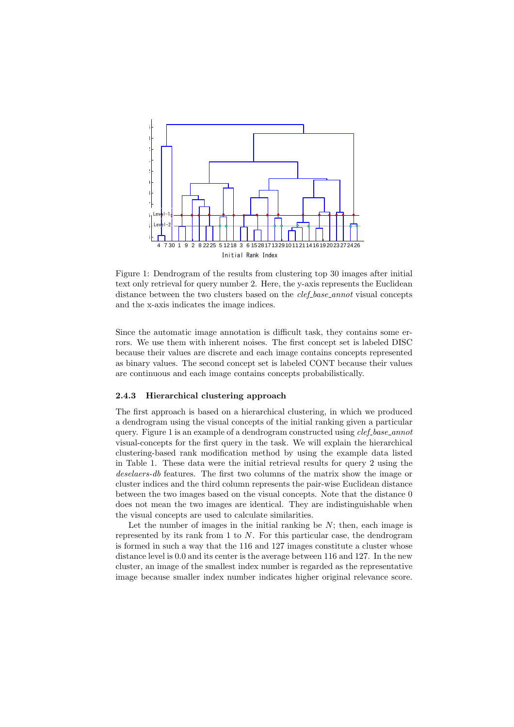

Figure 1: Dendrogram of the results from clustering top 30 images after initial text only retrieval for query number 2. Here, the y-axis represents the Euclidean distance between the two clusters based on the *clef base annot* visual concepts and the x-axis indicates the image indices.

Since the automatic image annotation is difficult task, they contains some errors. We use them with inherent noises. The first concept set is labeled DISC because their values are discrete and each image contains concepts represented as binary values. The second concept set is labeled CONT because their values are continuous and each image contains concepts probabilistically.

#### **2.4.3 Hierarchical clustering approach**

The first approach is based on a hierarchical clustering, in which we produced a dendrogram using the visual concepts of the initial ranking given a particular query. Figure 1 is an example of a dendrogram constructed using *clef base annot* visual-concepts for the first query in the task. We will explain the hierarchical clustering-based rank modification method by using the example data listed in Table 1. These data were the initial retrieval results for query 2 using the *deselaers-db* features. The first two columns of the matrix show the image or cluster indices and the third column represents the pair-wise Euclidean distance between the two images based on the visual concepts. Note that the distance 0 does not mean the two images are identical. They are indistinguishable when the visual concepts are used to calculate similarities.

Let the number of images in the initial ranking be *N*; then, each image is represented by its rank from 1 to *N*. For this particular case, the dendrogram is formed in such a way that the 116 and 127 images constitute a cluster whose distance level is 0*.*0 and its center is the average between 116 and 127. In the new cluster, an image of the smallest index number is regarded as the representative image because smaller index number indicates higher original relevance score.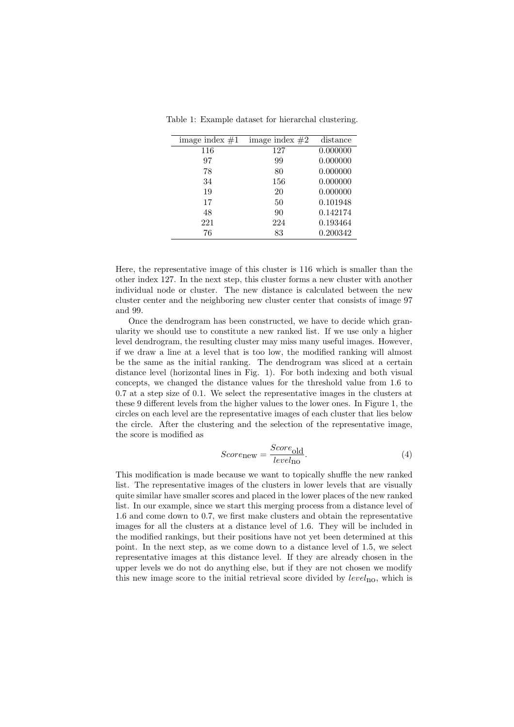Table 1: Example dataset for hierarchal clustering.

| image index $#1$ | image index $#2$ | distance |
|------------------|------------------|----------|
| 116              | 127              | 0.000000 |
| 97               | 99               | 0.000000 |
| 78               | 80               | 0.000000 |
| 34               | 156              | 0.000000 |
| 19               | 20               | 0.000000 |
| 17               | 50               | 0.101948 |
| 48               | 90               | 0.142174 |
| 221              | 224              | 0.193464 |
| 76               | 83               | 0.200342 |

Here, the representative image of this cluster is 116 which is smaller than the other index 127. In the next step, this cluster forms a new cluster with another individual node or cluster. The new distance is calculated between the new cluster center and the neighboring new cluster center that consists of image 97 and 99.

Once the dendrogram has been constructed, we have to decide which granularity we should use to constitute a new ranked list. If we use only a higher level dendrogram, the resulting cluster may miss many useful images. However, if we draw a line at a level that is too low, the modified ranking will almost be the same as the initial ranking. The dendrogram was sliced at a certain distance level (horizontal lines in Fig. 1). For both indexing and both visual concepts, we changed the distance values for the threshold value from 1*.*6 to 0*.*7 at a step size of 0*.*1. We select the representative images in the clusters at these 9 different levels from the higher values to the lower ones. In Figure 1, the circles on each level are the representative images of each cluster that lies below the circle. After the clustering and the selection of the representative image, the score is modified as

$$
Scorenew = \frac{Score_{old}}{level_{10}}.
$$
\n(4)

This modification is made because we want to topically shuffle the new ranked list. The representative images of the clusters in lower levels that are visually quite similar have smaller scores and placed in the lower places of the new ranked list. In our example, since we start this merging process from a distance level of 1*.*6 and come down to 0*.*7, we first make clusters and obtain the representative images for all the clusters at a distance level of 1*.*6. They will be included in the modified rankings, but their positions have not yet been determined at this point. In the next step, as we come down to a distance level of 1*.*5, we select representative images at this distance level. If they are already chosen in the upper levels we do not do anything else, but if they are not chosen we modify this new image score to the initial retrieval score divided by *level*no, which is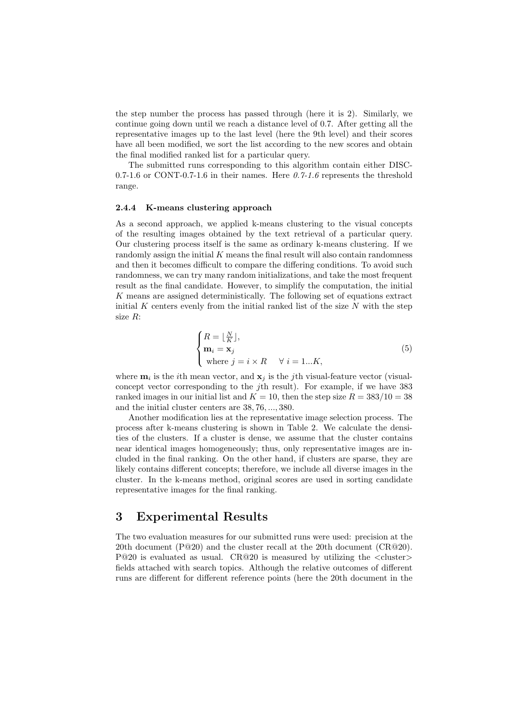the step number the process has passed through (here it is 2). Similarly, we continue going down until we reach a distance level of 0*.*7. After getting all the representative images up to the last level (here the 9th level) and their scores have all been modified, we sort the list according to the new scores and obtain the final modified ranked list for a particular query.

The submitted runs corresponding to this algorithm contain either DISC-0.7-1.6 or CONT-0.7-1.6 in their names. Here  $0.7-1.6$  represents the threshold range.

#### **2.4.4 K-means clustering approach**

As a second approach, we applied k-means clustering to the visual concepts of the resulting images obtained by the text retrieval of a particular query. Our clustering process itself is the same as ordinary k-means clustering. If we randomly assign the initial *K* means the final result will also contain randomness and then it becomes difficult to compare the differing conditions. To avoid such randomness, we can try many random initializations, and take the most frequent result as the final candidate. However, to simplify the computation, the initial *K* means are assigned deterministically. The following set of equations extract initial  $K$  centers evenly from the initial ranked list of the size  $N$  with the step size *R*:

$$
\begin{cases}\nR = \lfloor \frac{N}{K} \rfloor, \\
\mathbf{m}_i = \mathbf{x}_j \\
\text{where } j = i \times R \quad \forall \ i = 1...K,\n\end{cases}
$$
\n(5)

where  $\mathbf{m}_i$  is the *i*th mean vector, and  $\mathbf{x}_j$  is the *j*th visual-feature vector (visualconcept vector corresponding to the *j*th result). For example, if we have 383 ranked images in our initial list and  $K = 10$ , then the step size  $R = 383/10 = 38$ and the initial cluster centers are 38*,* 76*, ...,* 380.

Another modification lies at the representative image selection process. The process after k-means clustering is shown in Table 2. We calculate the densities of the clusters. If a cluster is dense, we assume that the cluster contains near identical images homogeneously; thus, only representative images are included in the final ranking. On the other hand, if clusters are sparse, they are likely contains different concepts; therefore, we include all diverse images in the cluster. In the k-means method, original scores are used in sorting candidate representative images for the final ranking.

# **3 Experimental Results**

The two evaluation measures for our submitted runs were used: precision at the 20th document ( $P@20$ ) and the cluster recall at the 20th document ( $CR@20$ ). P@20 is evaluated as usual. CR@20 is measured by utilizing the *<*cluster*>* fields attached with search topics. Although the relative outcomes of different runs are different for different reference points (here the 20th document in the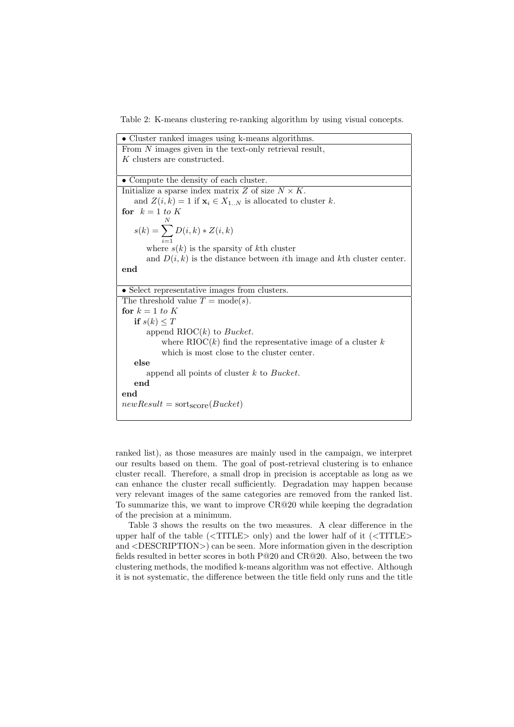Table 2: K-means clustering re-ranking algorithm by using visual concepts.

• Cluster ranked images using k-means algorithms. From *N* images given in the text-only retrieval result, *K* clusters are constructed. *•* Compute the density of each cluster. Initialize a sparse index matrix  $Z$  of size  $N \times K$ . and  $Z(i, k) = 1$  if  $\mathbf{x}_i \in X_{1..N}$  is allocated to cluster *k*. for  $k = 1$  to K  $s(k) = \sum_{n=1}^{N}$  $\sum_{i=1}^{n} D(i,k) * Z(i,k)$ where  $s(k)$  is the sparsity of  $k$ <sup>th</sup> cluster and  $D(i, k)$  is the distance between *i*th image and *k*th cluster center. **end** • Select representative images from clusters. The threshold value  $T = \text{mode}(s)$ . for  $k = 1$  to  $K$ **if**  $s(k) \leq T$ append RIOC(*k*) to *Bucket*. where  $RIOC(k)$  find the representative image of a cluster  $k$ which is most close to the cluster center. **else** append all points of cluster *k* to *Bucket*. **end end**  $newResult = sort<sub>score</sub>(Bucket)$ 

ranked list), as those measures are mainly used in the campaign, we interpret our results based on them. The goal of post-retrieval clustering is to enhance cluster recall. Therefore, a small drop in precision is acceptable as long as we can enhance the cluster recall sufficiently. Degradation may happen because very relevant images of the same categories are removed from the ranked list. To summarize this, we want to improve CR@20 while keeping the degradation of the precision at a minimum.

Table 3 shows the results on the two measures. A clear difference in the upper half of the table (*<*TITLE*>* only) and the lower half of it (*<*TITLE*>* and *<*DESCRIPTION*>*) can be seen. More information given in the description fields resulted in better scores in both P@20 and CR@20. Also, between the two clustering methods, the modified k-means algorithm was not effective. Although it is not systematic, the difference between the title field only runs and the title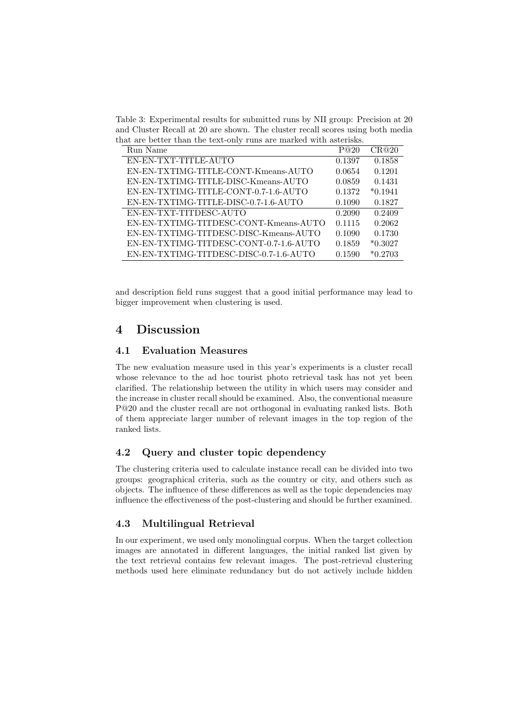Table 3: Experimental results for submitted runs by NII group: Precision at 20 and Cluster Recall at 20 are shown. The cluster recall scores using both media that are better than the text-only runs are marked with asterisks.

| Run Name                               | P@20   | CR@20     |
|----------------------------------------|--------|-----------|
| EN-EN-TXT-TITLE-AUTO                   | 0.1397 | 0.1858    |
| EN-EN-TXTIMG-TITLE-CONT-Kmeans-AUTO    | 0.0654 | 0.1201    |
| EN-EN-TXTIMG-TITLE-DISC-Kmeans-AUTO    | 0.0859 | 0.1431    |
| EN-EN-TXTIMG-TITLE-CONT-0.7-1.6-AUTO   | 0.1372 | $*0.1941$ |
| EN-EN-TXTIMG-TITLE-DISC-0.7-1.6-AUTO   | 0.1090 | 0.1827    |
| EN-EN-TXT-TITDESC-AUTO                 | 0.2090 | 0.2409    |
| EN-EN-TXTIMG-TITDESC-CONT-Kmeans-AUTO  | 0.1115 | 0.2062    |
| EN-EN-TXTIMG-TITDESC-DISC-Kmeans-AUTO  | 0.1090 | 0.1730    |
| EN-EN-TXTIMG-TITDESC-CONT-0.7-1.6-AUTO | 0.1859 | $*0.3027$ |
| EN-EN-TXTIMG-TITDESC-DISC-0.7-1.6-AUTO | 0.1590 | $*0.2703$ |

and description field runs suggest that a good initial performance may lead to bigger improvement when clustering is used.

# **4 Discussion**

### **4.1 Evaluation Measures**

The new evaluation measure used in this year's experiments is a cluster recall whose relevance to the ad hoc tourist photo retrieval task has not yet been clarified. The relationship between the utility in which users may consider and the increase in cluster recall should be examined. Also, the conventional measure P@20 and the cluster recall are not orthogonal in evaluating ranked lists. Both of them appreciate larger number of relevant images in the top region of the ranked lists.

### **4.2 Query and cluster topic dependency**

The clustering criteria used to calculate instance recall can be divided into two groups: geographical criteria, such as the country or city, and others such as objects. The influence of these differences as well as the topic dependencies may influence the effectiveness of the post-clustering and should be further examined.

# **4.3 Multilingual Retrieval**

In our experiment, we used only monolingual corpus. When the target collection images are annotated in different languages, the initial ranked list given by the text retrieval contains few relevant images. The post-retrieval clustering methods used here eliminate redundancy but do not actively include hidden